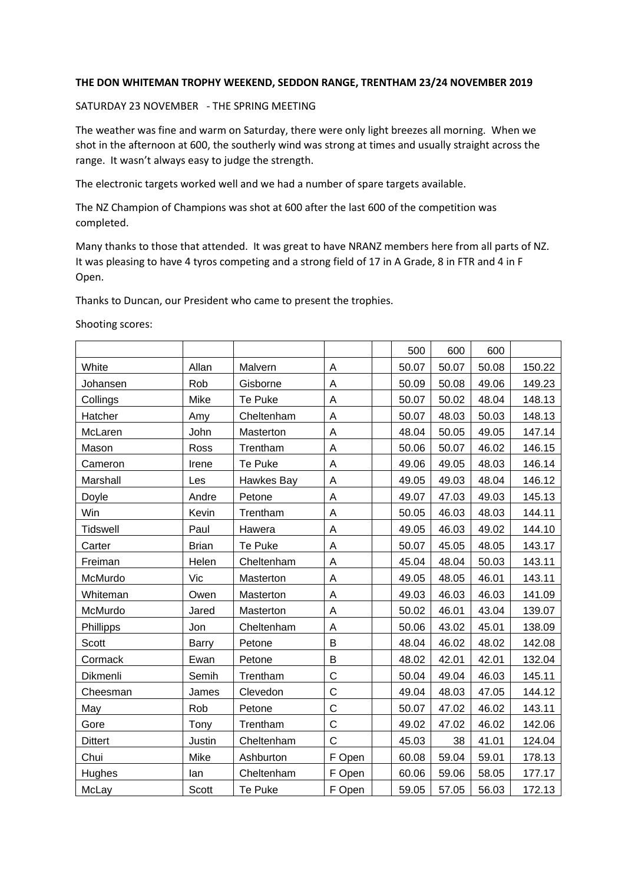# **THE DON WHITEMAN TROPHY WEEKEND, SEDDON RANGE, TRENTHAM 23/24 NOVEMBER 2019**

#### SATURDAY 23 NOVEMBER - THE SPRING MEETING

The weather was fine and warm on Saturday, there were only light breezes all morning. When we shot in the afternoon at 600, the southerly wind was strong at times and usually straight across the range. It wasn't always easy to judge the strength.

The electronic targets worked well and we had a number of spare targets available.

The NZ Champion of Champions was shot at 600 after the last 600 of the competition was completed.

Many thanks to those that attended. It was great to have NRANZ members here from all parts of NZ. It was pleasing to have 4 tyros competing and a strong field of 17 in A Grade, 8 in FTR and 4 in F Open.

Thanks to Duncan, our President who came to present the trophies.

Shooting scores:

|                 |              |            |              | 500   | 600   | 600   |        |
|-----------------|--------------|------------|--------------|-------|-------|-------|--------|
| White           | Allan        | Malvern    | Α            | 50.07 | 50.07 | 50.08 | 150.22 |
| Johansen        | Rob          | Gisborne   | A            | 50.09 | 50.08 | 49.06 | 149.23 |
| Collings        | Mike         | Te Puke    | A            | 50.07 | 50.02 | 48.04 | 148.13 |
| Hatcher         | Amy          | Cheltenham | A            | 50.07 | 48.03 | 50.03 | 148.13 |
| McLaren         | John         | Masterton  | A            | 48.04 | 50.05 | 49.05 | 147.14 |
| Mason           | Ross         | Trentham   | A            | 50.06 | 50.07 | 46.02 | 146.15 |
| Cameron         | Irene        | Te Puke    | Α            | 49.06 | 49.05 | 48.03 | 146.14 |
| Marshall        | Les          | Hawkes Bay | A            | 49.05 | 49.03 | 48.04 | 146.12 |
| Doyle           | Andre        | Petone     | A            | 49.07 | 47.03 | 49.03 | 145.13 |
| Win             | Kevin        | Trentham   | A            | 50.05 | 46.03 | 48.03 | 144.11 |
| <b>Tidswell</b> | Paul         | Hawera     | A            | 49.05 | 46.03 | 49.02 | 144.10 |
| Carter          | <b>Brian</b> | Te Puke    | A            | 50.07 | 45.05 | 48.05 | 143.17 |
| Freiman         | Helen        | Cheltenham | A            | 45.04 | 48.04 | 50.03 | 143.11 |
| McMurdo         | Vic          | Masterton  | Α            | 49.05 | 48.05 | 46.01 | 143.11 |
| Whiteman        | Owen         | Masterton  | Α            | 49.03 | 46.03 | 46.03 | 141.09 |
| McMurdo         | Jared        | Masterton  | A            | 50.02 | 46.01 | 43.04 | 139.07 |
| Phillipps       | Jon          | Cheltenham | A            | 50.06 | 43.02 | 45.01 | 138.09 |
| <b>Scott</b>    | <b>Barry</b> | Petone     | B            | 48.04 | 46.02 | 48.02 | 142.08 |
| Cormack         | Ewan         | Petone     | B            | 48.02 | 42.01 | 42.01 | 132.04 |
| Dikmenli        | Semih        | Trentham   | $\mathsf{C}$ | 50.04 | 49.04 | 46.03 | 145.11 |
| Cheesman        | James        | Clevedon   | $\mathsf C$  | 49.04 | 48.03 | 47.05 | 144.12 |
| May             | Rob          | Petone     | $\mathsf C$  | 50.07 | 47.02 | 46.02 | 143.11 |
| Gore            | Tony         | Trentham   | C            | 49.02 | 47.02 | 46.02 | 142.06 |
| <b>Dittert</b>  | Justin       | Cheltenham | $\mathsf{C}$ | 45.03 | 38    | 41.01 | 124.04 |
| Chui            | Mike         | Ashburton  | F Open       | 60.08 | 59.04 | 59.01 | 178.13 |
| Hughes          | lan          | Cheltenham | F Open       | 60.06 | 59.06 | 58.05 | 177.17 |
| McLay           | Scott        | Te Puke    | F Open       | 59.05 | 57.05 | 56.03 | 172.13 |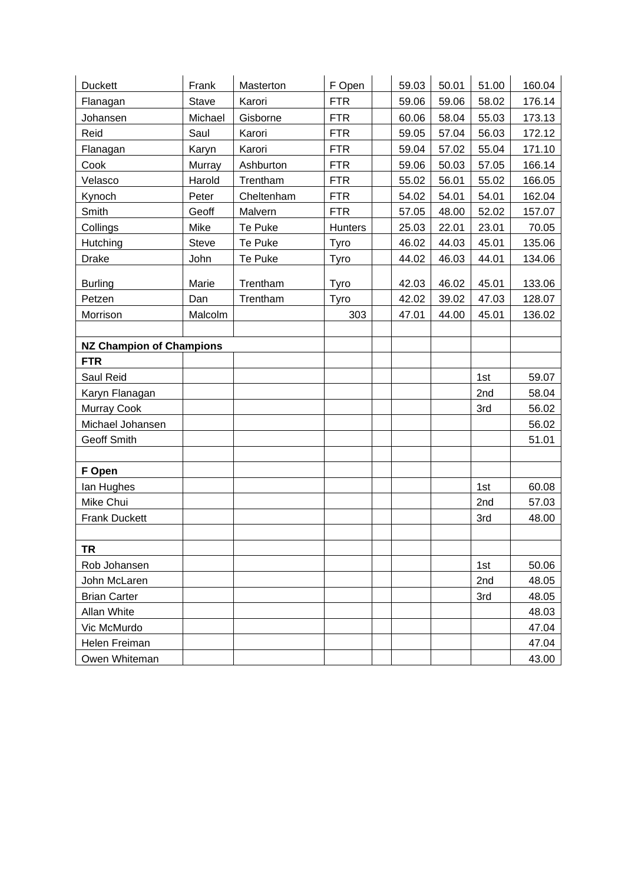| <b>Duckett</b>                  | Frank        | Masterton  | F Open         | 59.03 | 50.01 | 51.00 | 160.04 |
|---------------------------------|--------------|------------|----------------|-------|-------|-------|--------|
| Flanagan                        | Stave        | Karori     | <b>FTR</b>     | 59.06 | 59.06 | 58.02 | 176.14 |
| Johansen                        | Michael      | Gisborne   | <b>FTR</b>     | 60.06 | 58.04 | 55.03 | 173.13 |
| Reid                            | Saul         | Karori     | <b>FTR</b>     | 59.05 | 57.04 | 56.03 | 172.12 |
| Flanagan                        | Karyn        | Karori     | <b>FTR</b>     | 59.04 | 57.02 | 55.04 | 171.10 |
| Cook                            | Murray       | Ashburton  | <b>FTR</b>     | 59.06 | 50.03 | 57.05 | 166.14 |
| Velasco                         | Harold       | Trentham   | <b>FTR</b>     | 55.02 | 56.01 | 55.02 | 166.05 |
| Kynoch                          | Peter        | Cheltenham | <b>FTR</b>     | 54.02 | 54.01 | 54.01 | 162.04 |
| Smith                           | Geoff        | Malvern    | <b>FTR</b>     | 57.05 | 48.00 | 52.02 | 157.07 |
| Collings                        | Mike         | Te Puke    | <b>Hunters</b> | 25.03 | 22.01 | 23.01 | 70.05  |
| Hutching                        | <b>Steve</b> | Te Puke    | Tyro           | 46.02 | 44.03 | 45.01 | 135.06 |
| <b>Drake</b>                    | John         | Te Puke    | Tyro           | 44.02 | 46.03 | 44.01 | 134.06 |
| <b>Burling</b>                  | Marie        | Trentham   | Tyro           | 42.03 | 46.02 | 45.01 | 133.06 |
| Petzen                          | Dan          | Trentham   | Tyro           | 42.02 | 39.02 | 47.03 | 128.07 |
| Morrison                        | Malcolm      |            | 303            | 47.01 | 44.00 | 45.01 | 136.02 |
|                                 |              |            |                |       |       |       |        |
| <b>NZ Champion of Champions</b> |              |            |                |       |       |       |        |
| <b>FTR</b>                      |              |            |                |       |       |       |        |
| Saul Reid                       |              |            |                |       |       | 1st   | 59.07  |
| Karyn Flanagan                  |              |            |                |       |       | 2nd   | 58.04  |
| Murray Cook                     |              |            |                |       |       | 3rd   | 56.02  |
| Michael Johansen                |              |            |                |       |       |       | 56.02  |
| Geoff Smith                     |              |            |                |       |       |       | 51.01  |
|                                 |              |            |                |       |       |       |        |
| F Open                          |              |            |                |       |       |       |        |
| lan Hughes                      |              |            |                |       |       | 1st   | 60.08  |
| Mike Chui                       |              |            |                |       |       | 2nd   | 57.03  |
| <b>Frank Duckett</b>            |              |            |                |       |       | 3rd   | 48.00  |
|                                 |              |            |                |       |       |       |        |
| TR                              |              |            |                |       |       |       |        |
| Rob Johansen                    |              |            |                |       |       | 1st   | 50.06  |
| John McLaren                    |              |            |                |       |       | 2nd   | 48.05  |
| <b>Brian Carter</b>             |              |            |                |       |       | 3rd   | 48.05  |
| Allan White                     |              |            |                |       |       |       | 48.03  |
| Vic McMurdo                     |              |            |                |       |       |       | 47.04  |
| Helen Freiman                   |              |            |                |       |       |       | 47.04  |
| Owen Whiteman                   |              |            |                |       |       |       | 43.00  |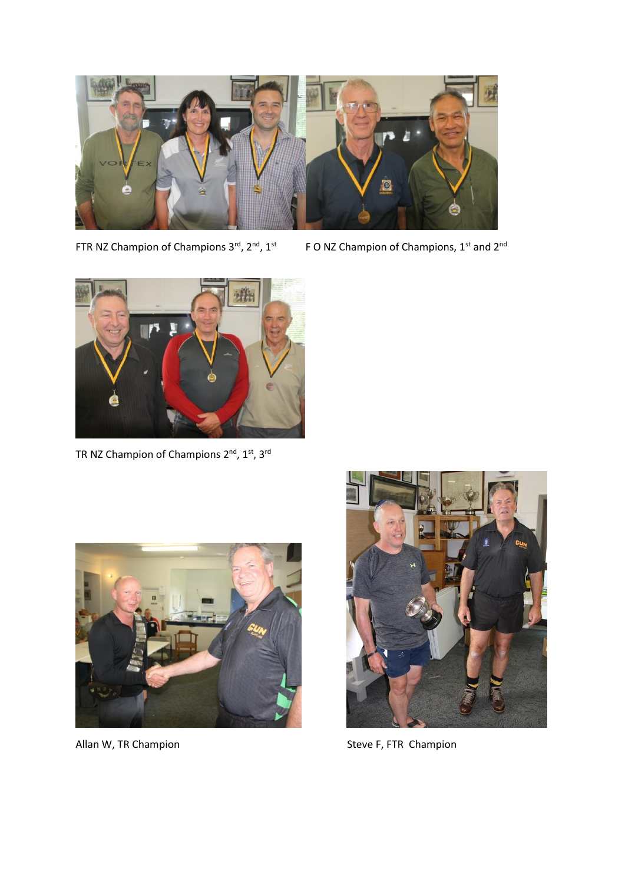

FTR NZ Champion of Champions 3rd, 2nd, 1st

F O NZ Champion of Champions, 1<sup>st</sup> and 2<sup>nd</sup>



TR NZ Champion of Champions  $2^{nd}$ ,  $1^{st}$ ,  $3^{rd}$ 





Allan W, TR Champion Steve F, FTR Champion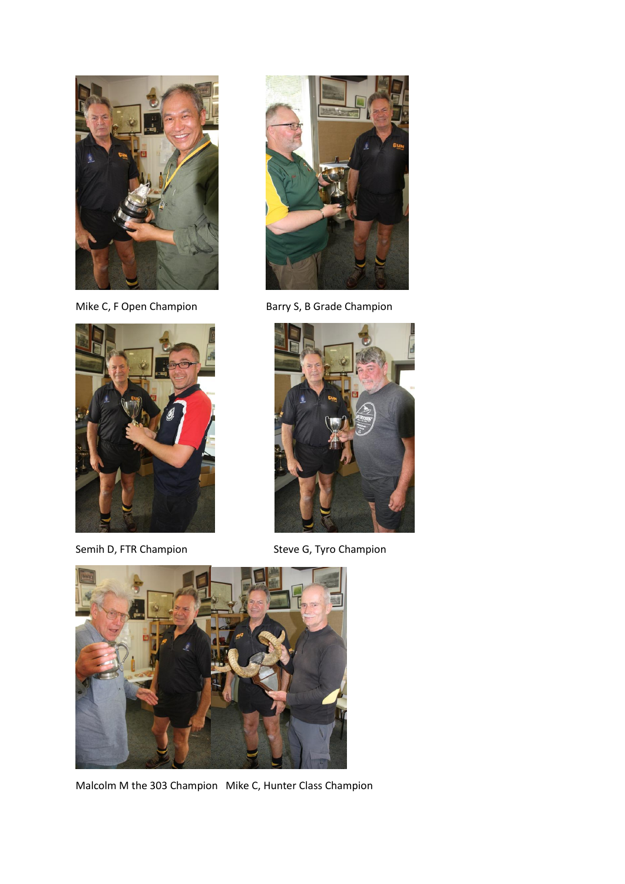





Mike C, F Open Champion Barry S, B Grade Champion



Semih D, FTR Champion Steve G, Tyro Champion



Malcolm M the 303 Champion Mike C, Hunter Class Champion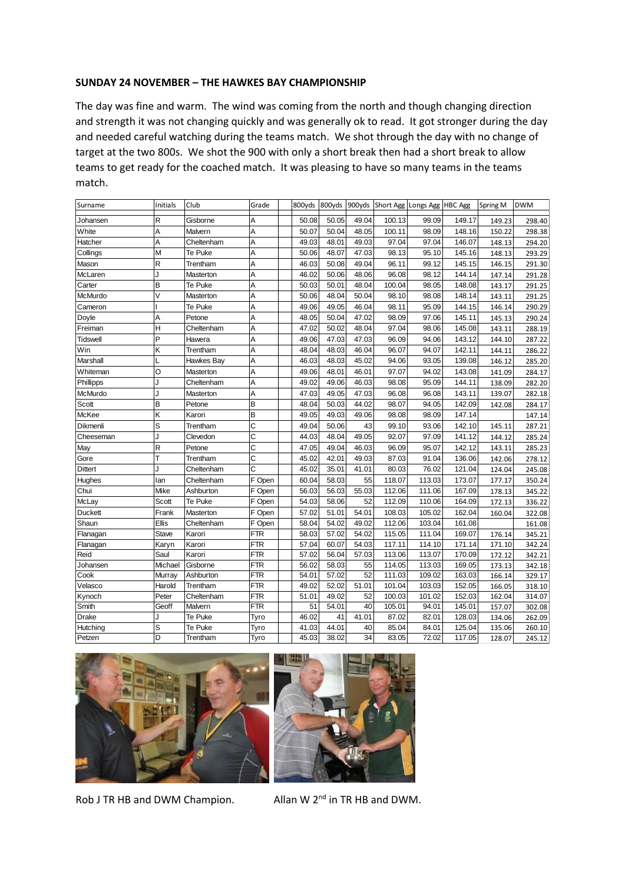### **SUNDAY 24 NOVEMBER – THE HAWKES BAY CHAMPIONSHIP**

The day was fine and warm. The wind was coming from the north and though changing direction and strength it was not changing quickly and was generally ok to read. It got stronger during the day and needed careful watching during the teams match. We shot through the day with no change of target at the two 800s. We shot the 900 with only a short break then had a short break to allow teams to get ready for the coached match. It was pleasing to have so many teams in the teams match.

| Surname        | Initials | Club       | Grade          | 800yds | 800yds |       |        | 900yds Short Agg Longs Agg HBC Agg |        | Spring M | <b>DWM</b> |
|----------------|----------|------------|----------------|--------|--------|-------|--------|------------------------------------|--------|----------|------------|
| Johansen       | R        | Gisborne   | Α              | 50.08  | 50.05  | 49.04 | 100.13 | 99.09                              | 149.17 | 149.23   | 298.40     |
| White          | A        | Malvern    | A              | 50.07  | 50.04  | 48.05 | 100.11 | 98.09                              | 148.16 | 150.22   | 298.38     |
| Hatcher        | A        | Cheltenham | A              | 49.03  | 48.01  | 49.03 | 97.04  | 97.04                              | 146.07 | 148.13   | 294.20     |
| Collings       | M        | Te Puke    | A              | 50.06  | 48.07  | 47.03 | 98.13  | 95.10                              | 145.16 | 148.13   | 293.29     |
| Mason          | R        | Trentham   | A              | 46.03  | 50.08  | 49.04 | 96.11  | 99.12                              | 145.15 | 146.15   | 291.30     |
| McLaren        | J        | Masterton  | A              | 46.02  | 50.06  | 48.06 | 96.08  | 98.12                              | 144.14 | 147.14   | 291.28     |
| Carter         | B        | Te Puke    | A              | 50.03  | 50.01  | 48.04 | 100.04 | 98.05                              | 148.08 | 143.17   | 291.25     |
| McMurdo        | V        | Masterton  | A              | 50.06  | 48.04  | 50.04 | 98.10  | 98.08                              | 148.14 | 143.11   | 291.25     |
| Cameron        |          | Te Puke    | A              | 49.06  | 49.05  | 46.04 | 98.11  | 95.09                              | 144.15 | 146.14   | 290.29     |
| Doyle          | A        | Petone     | A              | 48.05  | 50.04  | 47.02 | 98.09  | 97.06                              | 145.11 | 145.13   | 290.24     |
| Freiman        | H        | Cheltenham | A              | 47.02  | 50.02  | 48.04 | 97.04  | 98.06                              | 145.08 | 143.11   | 288.19     |
| Tidswell       | P        | Hawera     | A              | 49.06  | 47.03  | 47.03 | 96.09  | 94.06                              | 143.12 | 144.10   | 287.22     |
| Win            | Κ        | Trentham   | A              | 48.04  | 48.03  | 46.04 | 96.07  | 94.07                              | 142.11 | 144.11   | 286.22     |
| Marshall       |          | Hawkes Bay | Α              | 46.03  | 48.03  | 45.02 | 94.06  | 93.05                              | 139.08 | 146.12   | 285.20     |
| Whiteman       | O        | Masterton  | A              | 49.06  | 48.01  | 46.01 | 97.07  | 94.02                              | 143.08 | 141.09   | 284.17     |
| Phillipps      | J        | Cheltenham | A              | 49.02  | 49.06  | 46.03 | 98.08  | 95.09                              | 144.11 | 138.09   | 282.20     |
| McMurdo        | J        | Masterton  | Α              | 47.03  | 49.05  | 47.03 | 96.08  | 96.08                              | 143.11 | 139.07   | 282.18     |
| Scott          | B        | Petone     | B              | 48.04  | 50.03  | 44.02 | 98.07  | 94.05                              | 142.09 | 142.08   | 284.17     |
| McKee          | Κ        | Karori     | B              | 49.05  | 49.03  | 49.06 | 98.08  | 98.09                              | 147.14 |          | 147.14     |
| Dikmenli       | S        | Trentham   | C              | 49.04  | 50.06  | 43    | 99.10  | 93.06                              | 142.10 | 145.11   | 287.21     |
| Cheeseman      | J        | Clevedon   | C              | 44.03  | 48.04  | 49.05 | 92.07  | 97.09                              | 141.12 | 144.12   | 285.24     |
| May            | R        | Petone     | $\overline{c}$ | 47.05  | 49.04  | 46.03 | 96.09  | 95.07                              | 142.12 | 143.11   | 285.23     |
| Gore           | T        | Trentham   | C              | 45.02  | 42.01  | 49.03 | 87.03  | 91.04                              | 136.06 | 142.06   | 278.12     |
| Dittert        | J        | Cheltenham | Ċ              | 45.02  | 35.01  | 41.01 | 80.03  | 76.02                              | 121.04 | 124.04   | 245.08     |
| Hughes         | lan      | Cheltenham | F Open         | 60.04  | 58.03  | 55    | 118.07 | 113.03                             | 173.07 | 177.17   | 350.24     |
| Chui           | Mike     | Ashburton  | F Open         | 56.03  | 56.03  | 55.03 | 112.06 | 111.06                             | 167.09 | 178.13   | 345.22     |
| McLay          | Scott    | Te Puke    | F Open         | 54.03  | 58.06  | 52    | 112.09 | 110.06                             | 164.09 | 172.13   | 336.22     |
| <b>Duckett</b> | Frank    | Masterton  | F Open         | 57.02  | 51.01  | 54.01 | 108.03 | 105.02                             | 162.04 | 160.04   | 322.08     |
| Shaun          | Ellis    | Cheltenham | F Open         | 58.04  | 54.02  | 49.02 | 112.06 | 103.04                             | 161.08 |          | 161.08     |
| Flanagan       | Stave    | Karori     | FTR            | 58.03  | 57.02  | 54.02 | 115.05 | 111.04                             | 169.07 | 176.14   | 345.21     |
| Flanagan       | Karyn    | Karori     | FTR            | 57.04  | 60.07  | 54.03 | 117.11 | 114.10                             | 171.14 | 171.10   | 342.24     |
| Reid           | Saul     | Karori     | <b>FTR</b>     | 57.02  | 56.04  | 57.03 | 113.06 | 113.07                             | 170.09 | 172.12   | 342.21     |
| Johansen       | Michael  | Gisborne   | FTR            | 56.02  | 58.03  | 55    | 114.05 | 113.03                             | 169.05 | 173.13   | 342.18     |
| Cook           | Murray   | Ashburton  | <b>FTR</b>     | 54.01  | 57.02  | 52    | 111.03 | 109.02                             | 163.03 | 166.14   | 329.17     |
| Velasco        | Harold   | Trentham   | <b>FTR</b>     | 49.02  | 52.02  | 51.01 | 101.04 | 103.03                             | 152.05 | 166.05   | 318.10     |
| Kynoch         | Peter    | Cheltenham | FTR            | 51.01  | 49.02  | 52    | 100.03 | 101.02                             | 152.03 | 162.04   | 314.07     |
| Smith          | Geoff    | Malvern    | <b>FTR</b>     | 51     | 54.01  | 40    | 105.01 | 94.01                              | 145.01 | 157.07   | 302.08     |
| Drake          | J        | Te Puke    | Tyro           | 46.02  | 41     | 41.01 | 87.02  | 82.01                              | 128.03 | 134.06   | 262.09     |
| Hutching       | S        | Te Puke    | Tyro           | 41.03  | 44.01  | 40    | 85.04  | 84.01                              | 125.04 | 135.06   | 260.10     |
| Petzen         | D        | Trentham   | Tyro           | 45.03  | 38.02  | 34    | 83.05  | 72.02                              | 117.05 | 128.07   | 245.12     |



Rob J TR HB and DWM Champion.



Allan W  $2^{nd}$  in TR HB and DWM.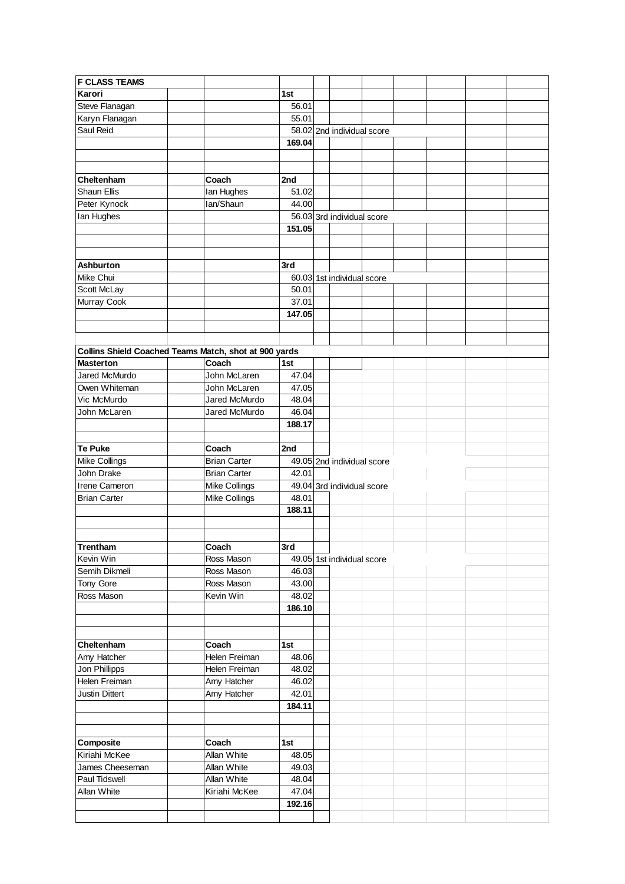| <b>F CLASS TEAMS</b>                                  |  |                     |        |  |                            |  |  |  |
|-------------------------------------------------------|--|---------------------|--------|--|----------------------------|--|--|--|
| Karori                                                |  |                     | 1st    |  |                            |  |  |  |
| Steve Flanagan                                        |  |                     | 56.01  |  |                            |  |  |  |
| Karyn Flanagan                                        |  |                     | 55.01  |  |                            |  |  |  |
| Saul Reid                                             |  |                     |        |  | 58.02 2nd individual score |  |  |  |
|                                                       |  |                     | 169.04 |  |                            |  |  |  |
|                                                       |  |                     |        |  |                            |  |  |  |
|                                                       |  |                     |        |  |                            |  |  |  |
| Cheltenham                                            |  | Coach               | 2nd    |  |                            |  |  |  |
| Shaun Ellis                                           |  | Ian Hughes          | 51.02  |  |                            |  |  |  |
| Peter Kynock                                          |  | lan/Shaun           | 44.00  |  |                            |  |  |  |
| Ian Hughes                                            |  |                     |        |  | 56.03 3rd individual score |  |  |  |
|                                                       |  |                     | 151.05 |  |                            |  |  |  |
|                                                       |  |                     |        |  |                            |  |  |  |
|                                                       |  |                     |        |  |                            |  |  |  |
| Ashburton                                             |  |                     | 3rd    |  |                            |  |  |  |
| Mike Chui                                             |  |                     |        |  | 60.03 1st individual score |  |  |  |
| Scott McLay                                           |  |                     | 50.01  |  |                            |  |  |  |
| Murray Cook                                           |  |                     | 37.01  |  |                            |  |  |  |
|                                                       |  |                     | 147.05 |  |                            |  |  |  |
|                                                       |  |                     |        |  |                            |  |  |  |
|                                                       |  |                     |        |  |                            |  |  |  |
|                                                       |  |                     |        |  |                            |  |  |  |
| Collins Shield Coached Teams Match, shot at 900 yards |  |                     |        |  |                            |  |  |  |
| <b>Masterton</b>                                      |  | Coach               | 1st    |  |                            |  |  |  |
| Jared McMurdo                                         |  | John McLaren        | 47.04  |  |                            |  |  |  |
| Owen Whiteman                                         |  | John McLaren        | 47.05  |  |                            |  |  |  |
| Vic McMurdo                                           |  | Jared McMurdo       | 48.04  |  |                            |  |  |  |
| John McLaren                                          |  | Jared McMurdo       | 46.04  |  |                            |  |  |  |
|                                                       |  |                     | 188.17 |  |                            |  |  |  |
|                                                       |  |                     |        |  |                            |  |  |  |
| <b>Te Puke</b>                                        |  | Coach               | 2nd    |  |                            |  |  |  |
| Mike Collings                                         |  | <b>Brian Carter</b> |        |  | 49.05 2nd individual score |  |  |  |
| John Drake                                            |  | <b>Brian Carter</b> | 42.01  |  |                            |  |  |  |
| Irene Cameron                                         |  | Mike Collings       |        |  | 49.04 3rd individual score |  |  |  |
| <b>Brian Carter</b>                                   |  | Mike Collings       | 48.01  |  |                            |  |  |  |
|                                                       |  |                     | 188.11 |  |                            |  |  |  |
|                                                       |  |                     |        |  |                            |  |  |  |
|                                                       |  |                     |        |  |                            |  |  |  |
| Trentham                                              |  | Coach               | 3rd    |  |                            |  |  |  |
| Kevin Win                                             |  | Ross Mason          |        |  | 49.05 1st individual score |  |  |  |
| Semih Dikmeli                                         |  | Ross Mason          | 46.03  |  |                            |  |  |  |
| Tony Gore                                             |  | Ross Mason          | 43.00  |  |                            |  |  |  |
| Ross Mason                                            |  | Kevin Win           | 48.02  |  |                            |  |  |  |
|                                                       |  |                     | 186.10 |  |                            |  |  |  |
|                                                       |  |                     |        |  |                            |  |  |  |
|                                                       |  |                     |        |  |                            |  |  |  |
| Cheltenham                                            |  | Coach               | 1st    |  |                            |  |  |  |
| Amy Hatcher                                           |  | Helen Freiman       | 48.06  |  |                            |  |  |  |
| Jon Phillipps                                         |  | Helen Freiman       | 48.02  |  |                            |  |  |  |
| Helen Freiman                                         |  | Amy Hatcher         | 46.02  |  |                            |  |  |  |
| Justin Dittert                                        |  | Amy Hatcher         | 42.01  |  |                            |  |  |  |
|                                                       |  |                     | 184.11 |  |                            |  |  |  |
|                                                       |  |                     |        |  |                            |  |  |  |
|                                                       |  |                     |        |  |                            |  |  |  |
| Composite                                             |  | Coach               | 1st    |  |                            |  |  |  |
| Kiriahi McKee                                         |  | Allan White         | 48.05  |  |                            |  |  |  |
| James Cheeseman                                       |  | Allan White         | 49.03  |  |                            |  |  |  |
| Paul Tidswell                                         |  | Allan White         | 48.04  |  |                            |  |  |  |
| Allan White                                           |  | Kiriahi McKee       | 47.04  |  |                            |  |  |  |
|                                                       |  |                     | 192.16 |  |                            |  |  |  |
|                                                       |  |                     |        |  |                            |  |  |  |
|                                                       |  |                     |        |  |                            |  |  |  |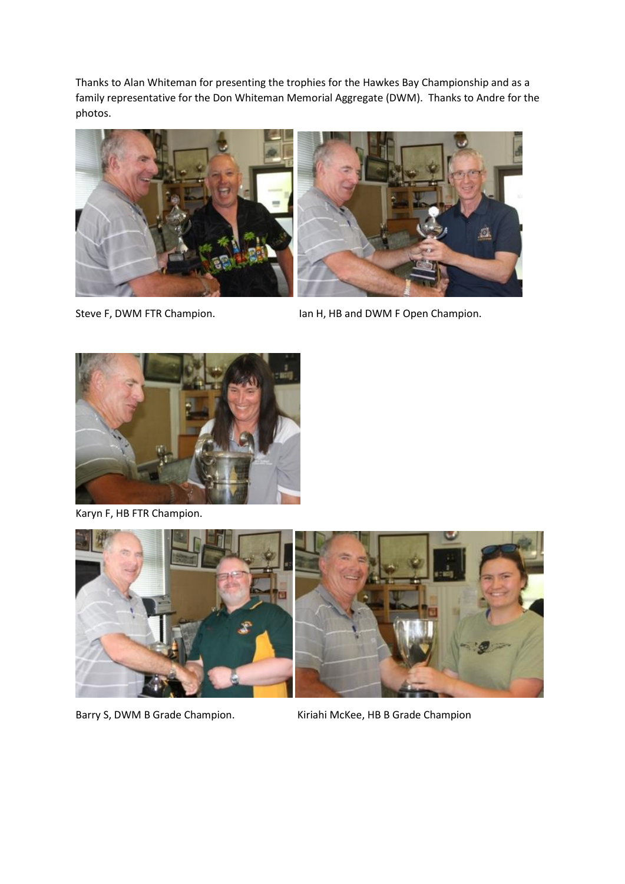Thanks to Alan Whiteman for presenting the trophies for the Hawkes Bay Championship and as a family representative for the Don Whiteman Memorial Aggregate (DWM). Thanks to Andre for the photos.





Steve F, DWM FTR Champion. In Mexico and H, HB and DWM F Open Champion.



Karyn F, HB FTR Champion.



Barry S, DWM B Grade Champion. Kiriahi McKee, HB B Grade Champion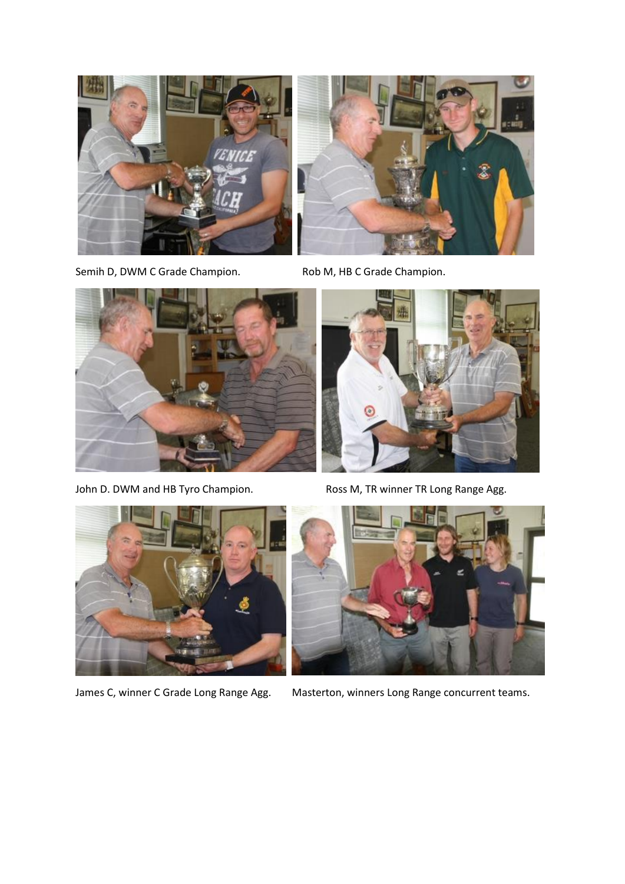



Semih D, DWM C Grade Champion. Rob M, HB C Grade Champion.





John D. DWM and HB Tyro Champion. Ross M, TR winner TR Long Range Agg.





James C, winner C Grade Long Range Agg. Masterton, winners Long Range concurrent teams.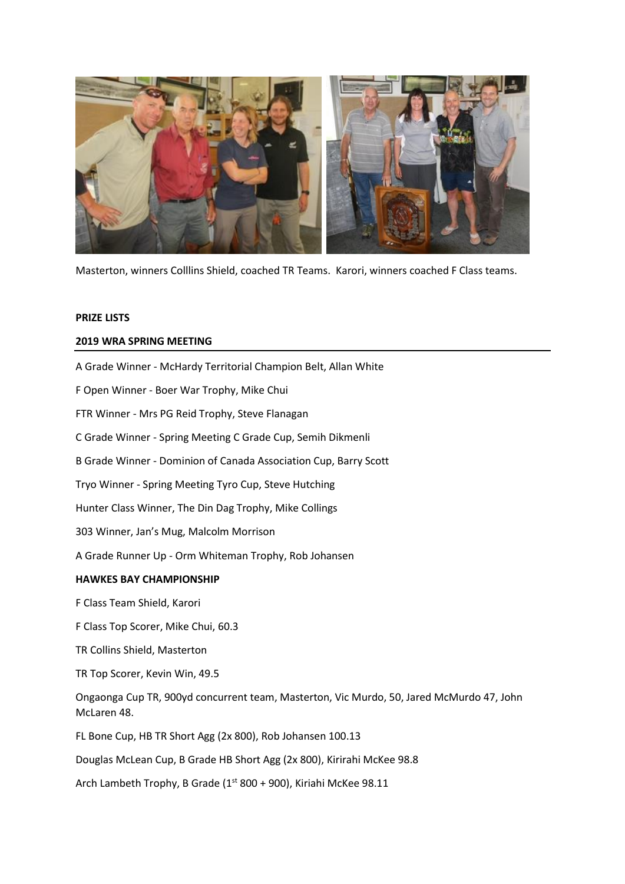

Masterton, winners Colllins Shield, coached TR Teams. Karori, winners coached F Class teams.

## **PRIZE LISTS**

# **2019 WRA SPRING MEETING**

A Grade Winner - McHardy Territorial Champion Belt, Allan White

F Open Winner - Boer War Trophy, Mike Chui

FTR Winner - Mrs PG Reid Trophy, Steve Flanagan

C Grade Winner - Spring Meeting C Grade Cup, Semih Dikmenli

B Grade Winner - Dominion of Canada Association Cup, Barry Scott

Tryo Winner - Spring Meeting Tyro Cup, Steve Hutching

Hunter Class Winner, The Din Dag Trophy, Mike Collings

303 Winner, Jan's Mug, Malcolm Morrison

A Grade Runner Up - Orm Whiteman Trophy, Rob Johansen

# **HAWKES BAY CHAMPIONSHIP**

F Class Team Shield, Karori

F Class Top Scorer, Mike Chui, 60.3

TR Collins Shield, Masterton

TR Top Scorer, Kevin Win, 49.5

Ongaonga Cup TR, 900yd concurrent team, Masterton, Vic Murdo, 50, Jared McMurdo 47, John McLaren 48.

FL Bone Cup, HB TR Short Agg (2x 800), Rob Johansen 100.13

Douglas McLean Cup, B Grade HB Short Agg (2x 800), Kirirahi McKee 98.8

Arch Lambeth Trophy, B Grade ( $1<sup>st</sup>$  800 + 900), Kiriahi McKee 98.11